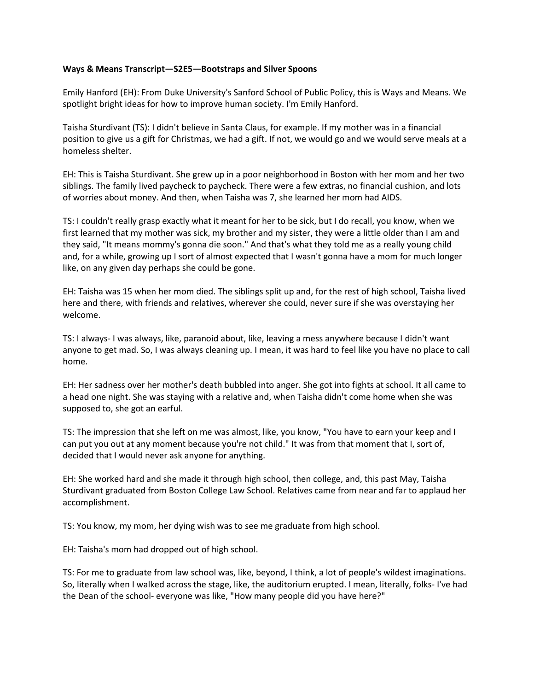## **Ways & Means Transcript—S2E5—Bootstraps and Silver Spoons**

Emily Hanford (EH): From Duke University's Sanford School of Public Policy, this is Ways and Means. We spotlight bright ideas for how to improve human society. I'm Emily Hanford.

Taisha Sturdivant (TS): I didn't believe in Santa Claus, for example. If my mother was in a financial position to give us a gift for Christmas, we had a gift. If not, we would go and we would serve meals at a homeless shelter.

EH: This is Taisha Sturdivant. She grew up in a poor neighborhood in Boston with her mom and her two siblings. The family lived paycheck to paycheck. There were a few extras, no financial cushion, and lots of worries about money. And then, when Taisha was 7, she learned her mom had AIDS.

TS: I couldn't really grasp exactly what it meant for her to be sick, but I do recall, you know, when we first learned that my mother was sick, my brother and my sister, they were a little older than I am and they said, "It means mommy's gonna die soon." And that's what they told me as a really young child and, for a while, growing up I sort of almost expected that I wasn't gonna have a mom for much longer like, on any given day perhaps she could be gone.

EH: Taisha was 15 when her mom died. The siblings split up and, for the rest of high school, Taisha lived here and there, with friends and relatives, wherever she could, never sure if she was overstaying her welcome.

TS: I always- I was always, like, paranoid about, like, leaving a mess anywhere because I didn't want anyone to get mad. So, I was always cleaning up. I mean, it was hard to feel like you have no place to call home.

EH: Her sadness over her mother's death bubbled into anger. She got into fights at school. It all came to a head one night. She was staying with a relative and, when Taisha didn't come home when she was supposed to, she got an earful.

TS: The impression that she left on me was almost, like, you know, "You have to earn your keep and I can put you out at any moment because you're not child." It was from that moment that I, sort of, decided that I would never ask anyone for anything.

EH: She worked hard and she made it through high school, then college, and, this past May, Taisha Sturdivant graduated from Boston College Law School. Relatives came from near and far to applaud her accomplishment.

TS: You know, my mom, her dying wish was to see me graduate from high school.

EH: Taisha's mom had dropped out of high school.

TS: For me to graduate from law school was, like, beyond, I think, a lot of people's wildest imaginations. So, literally when I walked across the stage, like, the auditorium erupted. I mean, literally, folks- I've had the Dean of the school- everyone was like, "How many people did you have here?"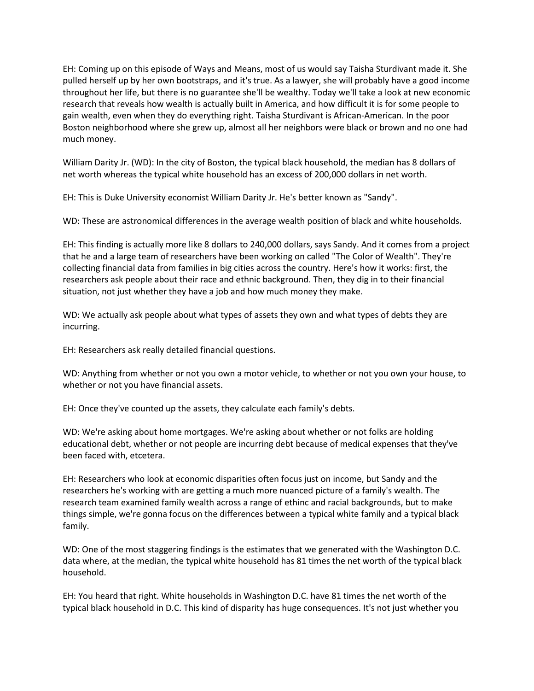EH: Coming up on this episode of Ways and Means, most of us would say Taisha Sturdivant made it. She pulled herself up by her own bootstraps, and it's true. As a lawyer, she will probably have a good income throughout her life, but there is no guarantee she'll be wealthy. Today we'll take a look at new economic research that reveals how wealth is actually built in America, and how difficult it is for some people to gain wealth, even when they do everything right. Taisha Sturdivant is African-American. In the poor Boston neighborhood where she grew up, almost all her neighbors were black or brown and no one had much money.

William Darity Jr. (WD): In the city of Boston, the typical black household, the median has 8 dollars of net worth whereas the typical white household has an excess of 200,000 dollars in net worth.

EH: This is Duke University economist William Darity Jr. He's better known as "Sandy".

WD: These are astronomical differences in the average wealth position of black and white households.

EH: This finding is actually more like 8 dollars to 240,000 dollars, says Sandy. And it comes from a project that he and a large team of researchers have been working on called "The Color of Wealth". They're collecting financial data from families in big cities across the country. Here's how it works: first, the researchers ask people about their race and ethnic background. Then, they dig in to their financial situation, not just whether they have a job and how much money they make.

WD: We actually ask people about what types of assets they own and what types of debts they are incurring.

EH: Researchers ask really detailed financial questions.

WD: Anything from whether or not you own a motor vehicle, to whether or not you own your house, to whether or not you have financial assets.

EH: Once they've counted up the assets, they calculate each family's debts.

WD: We're asking about home mortgages. We're asking about whether or not folks are holding educational debt, whether or not people are incurring debt because of medical expenses that they've been faced with, etcetera.

EH: Researchers who look at economic disparities often focus just on income, but Sandy and the researchers he's working with are getting a much more nuanced picture of a family's wealth. The research team examined family wealth across a range of ethinc and racial backgrounds, but to make things simple, we're gonna focus on the differences between a typical white family and a typical black family.

WD: One of the most staggering findings is the estimates that we generated with the Washington D.C. data where, at the median, the typical white household has 81 times the net worth of the typical black household.

EH: You heard that right. White households in Washington D.C. have 81 times the net worth of the typical black household in D.C. This kind of disparity has huge consequences. It's not just whether you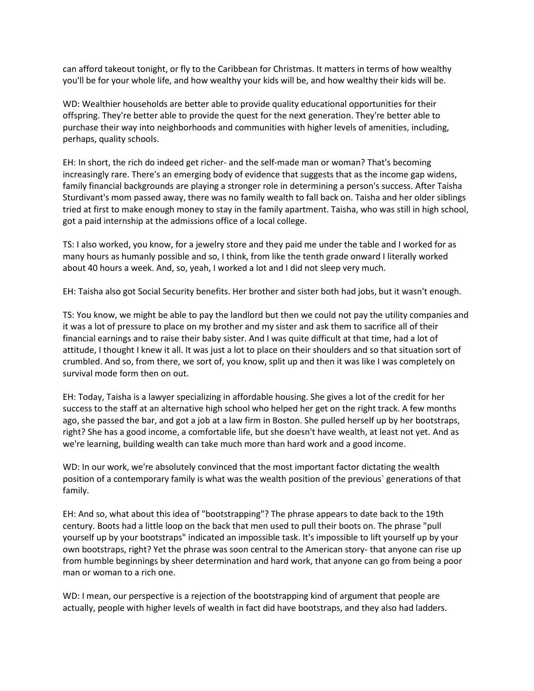can afford takeout tonight, or fly to the Caribbean for Christmas. It matters in terms of how wealthy you'll be for your whole life, and how wealthy your kids will be, and how wealthy their kids will be.

WD: Wealthier households are better able to provide quality educational opportunities for their offspring. They're better able to provide the quest for the next generation. They're better able to purchase their way into neighborhoods and communities with higher levels of amenities, including, perhaps, quality schools.

EH: In short, the rich do indeed get richer- and the self-made man or woman? That's becoming increasingly rare. There's an emerging body of evidence that suggests that as the income gap widens, family financial backgrounds are playing a stronger role in determining a person's success. After Taisha Sturdivant's mom passed away, there was no family wealth to fall back on. Taisha and her older siblings tried at first to make enough money to stay in the family apartment. Taisha, who was still in high school, got a paid internship at the admissions office of a local college.

TS: I also worked, you know, for a jewelry store and they paid me under the table and I worked for as many hours as humanly possible and so, I think, from like the tenth grade onward I literally worked about 40 hours a week. And, so, yeah, I worked a lot and I did not sleep very much.

EH: Taisha also got Social Security benefits. Her brother and sister both had jobs, but it wasn't enough.

TS: You know, we might be able to pay the landlord but then we could not pay the utility companies and it was a lot of pressure to place on my brother and my sister and ask them to sacrifice all of their financial earnings and to raise their baby sister. And I was quite difficult at that time, had a lot of attitude, I thought I knew it all. It was just a lot to place on their shoulders and so that situation sort of crumbled. And so, from there, we sort of, you know, split up and then it was like I was completely on survival mode form then on out.

EH: Today, Taisha is a lawyer specializing in affordable housing. She gives a lot of the credit for her success to the staff at an alternative high school who helped her get on the right track. A few months ago, she passed the bar, and got a job at a law firm in Boston. She pulled herself up by her bootstraps, right? She has a good income, a comfortable life, but she doesn't have wealth, at least not yet. And as we're learning, building wealth can take much more than hard work and a good income.

WD: In our work, we're absolutely convinced that the most important factor dictating the wealth position of a contemporary family is what was the wealth position of the previous` generations of that family.

EH: And so, what about this idea of "bootstrapping"? The phrase appears to date back to the 19th century. Boots had a little loop on the back that men used to pull their boots on. The phrase "pull yourself up by your bootstraps" indicated an impossible task. It's impossible to lift yourself up by your own bootstraps, right? Yet the phrase was soon central to the American story- that anyone can rise up from humble beginnings by sheer determination and hard work, that anyone can go from being a poor man or woman to a rich one.

WD: I mean, our perspective is a rejection of the bootstrapping kind of argument that people are actually, people with higher levels of wealth in fact did have bootstraps, and they also had ladders.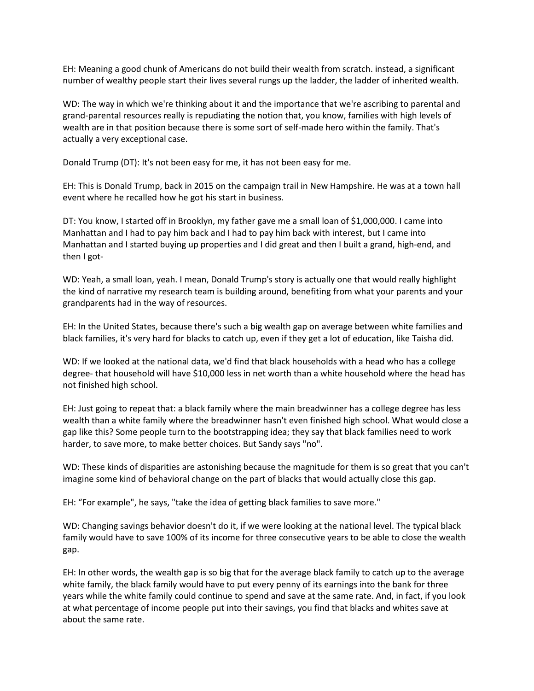EH: Meaning a good chunk of Americans do not build their wealth from scratch. instead, a significant number of wealthy people start their lives several rungs up the ladder, the ladder of inherited wealth.

WD: The way in which we're thinking about it and the importance that we're ascribing to parental and grand-parental resources really is repudiating the notion that, you know, families with high levels of wealth are in that position because there is some sort of self-made hero within the family. That's actually a very exceptional case.

Donald Trump (DT): It's not been easy for me, it has not been easy for me.

EH: This is Donald Trump, back in 2015 on the campaign trail in New Hampshire. He was at a town hall event where he recalled how he got his start in business.

DT: You know, I started off in Brooklyn, my father gave me a small loan of \$1,000,000. I came into Manhattan and I had to pay him back and I had to pay him back with interest, but I came into Manhattan and I started buying up properties and I did great and then I built a grand, high-end, and then I got-

WD: Yeah, a small loan, yeah. I mean, Donald Trump's story is actually one that would really highlight the kind of narrative my research team is building around, benefiting from what your parents and your grandparents had in the way of resources.

EH: In the United States, because there's such a big wealth gap on average between white families and black families, it's very hard for blacks to catch up, even if they get a lot of education, like Taisha did.

WD: If we looked at the national data, we'd find that black households with a head who has a college degree- that household will have \$10,000 less in net worth than a white household where the head has not finished high school.

EH: Just going to repeat that: a black family where the main breadwinner has a college degree has less wealth than a white family where the breadwinner hasn't even finished high school. What would close a gap like this? Some people turn to the bootstrapping idea; they say that black families need to work harder, to save more, to make better choices. But Sandy says "no".

WD: These kinds of disparities are astonishing because the magnitude for them is so great that you can't imagine some kind of behavioral change on the part of blacks that would actually close this gap.

EH: "For example", he says, "take the idea of getting black families to save more."

WD: Changing savings behavior doesn't do it, if we were looking at the national level. The typical black family would have to save 100% of its income for three consecutive years to be able to close the wealth gap.

EH: In other words, the wealth gap is so big that for the average black family to catch up to the average white family, the black family would have to put every penny of its earnings into the bank for three years while the white family could continue to spend and save at the same rate. And, in fact, if you look at what percentage of income people put into their savings, you find that blacks and whites save at about the same rate.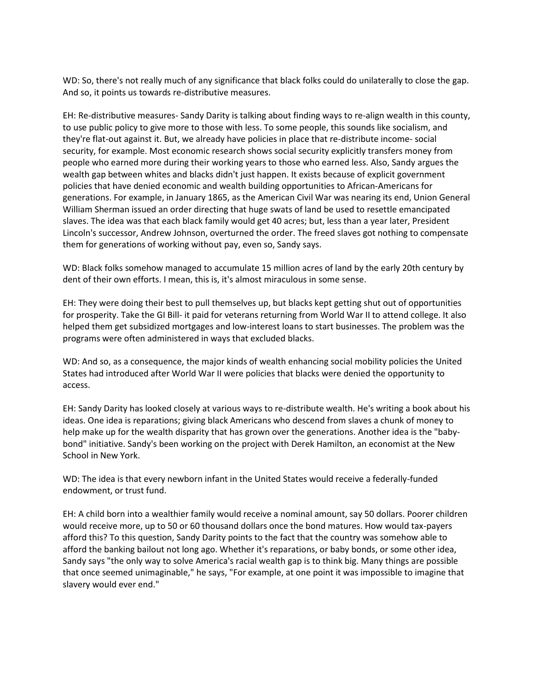WD: So, there's not really much of any significance that black folks could do unilaterally to close the gap. And so, it points us towards re-distributive measures.

EH: Re-distributive measures- Sandy Darity is talking about finding ways to re-align wealth in this county, to use public policy to give more to those with less. To some people, this sounds like socialism, and they're flat-out against it. But, we already have policies in place that re-distribute income- social security, for example. Most economic research shows social security explicitly transfers money from people who earned more during their working years to those who earned less. Also, Sandy argues the wealth gap between whites and blacks didn't just happen. It exists because of explicit government policies that have denied economic and wealth building opportunities to African-Americans for generations. For example, in January 1865, as the American Civil War was nearing its end, Union General William Sherman issued an order directing that huge swats of land be used to resettle emancipated slaves. The idea was that each black family would get 40 acres; but, less than a year later, President Lincoln's successor, Andrew Johnson, overturned the order. The freed slaves got nothing to compensate them for generations of working without pay, even so, Sandy says.

WD: Black folks somehow managed to accumulate 15 million acres of land by the early 20th century by dent of their own efforts. I mean, this is, it's almost miraculous in some sense.

EH: They were doing their best to pull themselves up, but blacks kept getting shut out of opportunities for prosperity. Take the GI Bill- it paid for veterans returning from World War II to attend college. It also helped them get subsidized mortgages and low-interest loans to start businesses. The problem was the programs were often administered in ways that excluded blacks.

WD: And so, as a consequence, the major kinds of wealth enhancing social mobility policies the United States had introduced after World War II were policies that blacks were denied the opportunity to access.

EH: Sandy Darity has looked closely at various ways to re-distribute wealth. He's writing a book about his ideas. One idea is reparations; giving black Americans who descend from slaves a chunk of money to help make up for the wealth disparity that has grown over the generations. Another idea is the "babybond" initiative. Sandy's been working on the project with Derek Hamilton, an economist at the New School in New York.

WD: The idea is that every newborn infant in the United States would receive a federally-funded endowment, or trust fund.

EH: A child born into a wealthier family would receive a nominal amount, say 50 dollars. Poorer children would receive more, up to 50 or 60 thousand dollars once the bond matures. How would tax-payers afford this? To this question, Sandy Darity points to the fact that the country was somehow able to afford the banking bailout not long ago. Whether it's reparations, or baby bonds, or some other idea, Sandy says "the only way to solve America's racial wealth gap is to think big. Many things are possible that once seemed unimaginable," he says, "For example, at one point it was impossible to imagine that slavery would ever end."